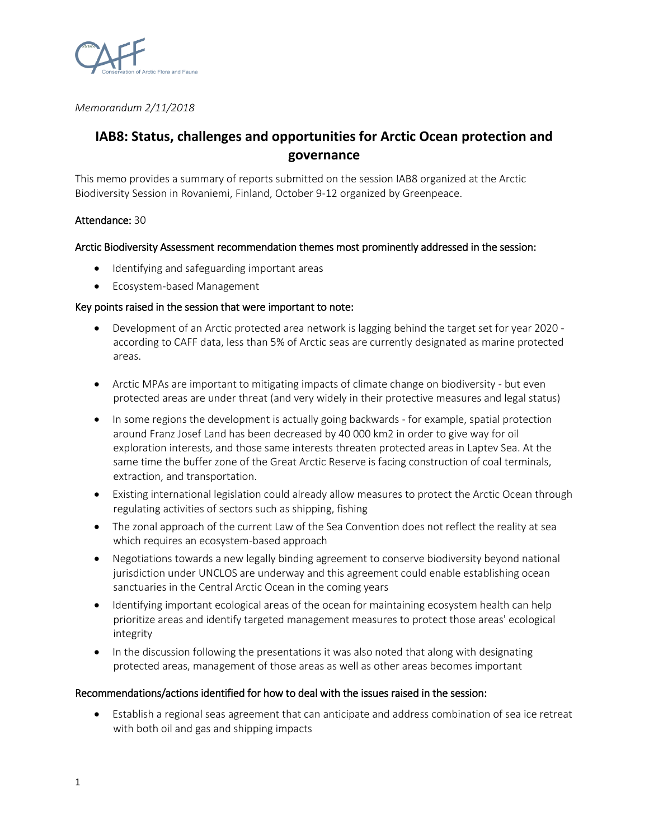

*Memorandum 2/11/2018*

# **IAB8: Status, challenges and opportunities for Arctic Ocean protection and governance**

This memo provides a summary of reports submitted on the session IAB8 organized at the Arctic Biodiversity Session in Rovaniemi, Finland, October 9-12 organized by Greenpeace.

## Attendance: 30

## Arctic Biodiversity Assessment recommendation themes most prominently addressed in the session:

- Identifying and safeguarding important areas
- Ecosystem-based Management

## Key points raised in the session that were important to note:

- Development of an Arctic protected area network is lagging behind the target set for year 2020 according to CAFF data, less than 5% of Arctic seas are currently designated as marine protected areas.
- Arctic MPAs are important to mitigating impacts of climate change on biodiversity but even protected areas are under threat (and very widely in their protective measures and legal status)
- In some regions the development is actually going backwards for example, spatial protection around Franz Josef Land has been decreased by 40 000 km2 in order to give way for oil exploration interests, and those same interests threaten protected areas in Laptev Sea. At the same time the buffer zone of the Great Arctic Reserve is facing construction of coal terminals, extraction, and transportation.
- Existing international legislation could already allow measures to protect the Arctic Ocean through regulating activities of sectors such as shipping, fishing
- The zonal approach of the current Law of the Sea Convention does not reflect the reality at sea which requires an ecosystem-based approach
- Negotiations towards a new legally binding agreement to conserve biodiversity beyond national jurisdiction under UNCLOS are underway and this agreement could enable establishing ocean sanctuaries in the Central Arctic Ocean in the coming years
- Identifying important ecological areas of the ocean for maintaining ecosystem health can help prioritize areas and identify targeted management measures to protect those areas' ecological integrity
- In the discussion following the presentations it was also noted that along with designating protected areas, management of those areas as well as other areas becomes important

## Recommendations/actions identified for how to deal with the issues raised in the session:

• Establish a regional seas agreement that can anticipate and address combination of sea ice retreat with both oil and gas and shipping impacts